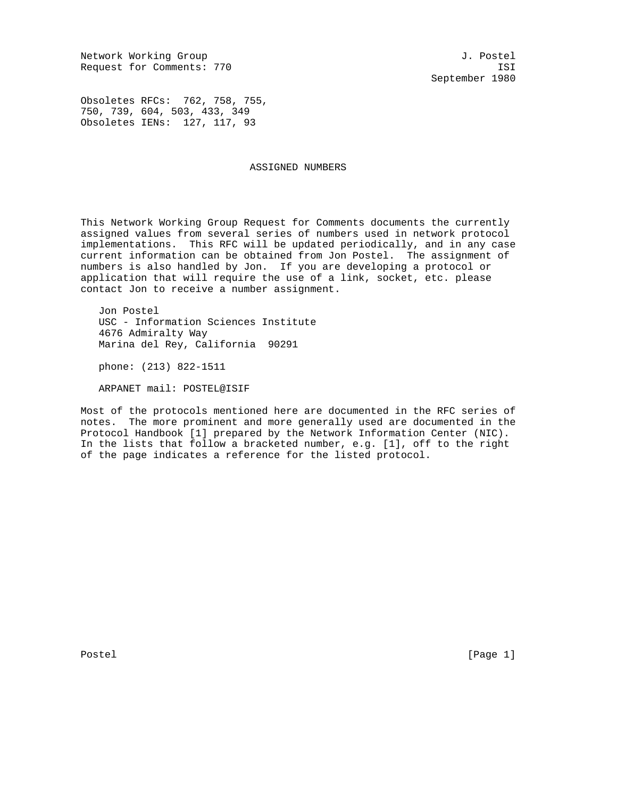Network Working Group and the set of the set of the set of the set of the set of the set of the set of the set o Request for Comments: 770 ISI

September 1980

Obsoletes RFCs: 762, 758, 755, 750, 739, 604, 503, 433, 349 Obsoletes IENs: 127, 117, 93

## ASSIGNED NUMBERS

This Network Working Group Request for Comments documents the currently assigned values from several series of numbers used in network protocol implementations. This RFC will be updated periodically, and in any case current information can be obtained from Jon Postel. The assignment of numbers is also handled by Jon. If you are developing a protocol or application that will require the use of a link, socket, etc. please contact Jon to receive a number assignment.

 Jon Postel USC - Information Sciences Institute 4676 Admiralty Way Marina del Rey, California 90291

phone: (213) 822-1511

ARPANET mail: POSTEL@ISIF

Most of the protocols mentioned here are documented in the RFC series of notes. The more prominent and more generally used are documented in the Protocol Handbook [1] prepared by the Network Information Center (NIC). In the lists that follow a bracketed number, e.g. [1], off to the right of the page indicates a reference for the listed protocol.

Postel [Page 1] [Page 1]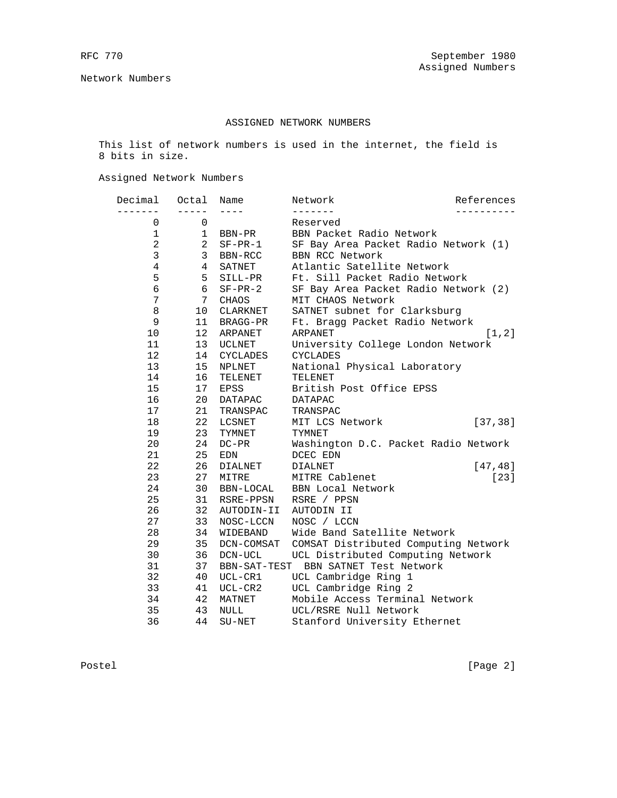Network Numbers

# ASSIGNED NETWORK NUMBERS

 This list of network numbers is used in the internet, the field is 8 bits in size.

Assigned Network Numbers

| Decimal             | Octal            | Name           | Network                                                        | References |
|---------------------|------------------|----------------|----------------------------------------------------------------|------------|
|                     |                  |                | Reserved                                                       |            |
| 0                   | 0                |                |                                                                |            |
| 1                   | $\mathbf 1$<br>2 | BBN-PR         | BBN Packet Radio Network                                       |            |
| 2<br>3              | 3                | $SF-PR-1$      | SF Bay Area Packet Radio Network (1)<br><b>BBN RCC Network</b> |            |
|                     |                  | BBN-RCC        |                                                                |            |
| 4                   | 4                | SATNET         | Atlantic Satellite Network<br>Ft. Sill Packet Radio Network    |            |
| 5<br>$\overline{6}$ | 5<br>6           | SILL-PR        |                                                                |            |
|                     |                  | $SF-PR-2$      | SF Bay Area Packet Radio Network (2)                           |            |
| 7                   | 7                | CHAOS          | MIT CHAOS Network                                              |            |
| 8                   | 10               | CLARKNET       | SATNET subnet for Clarksburg                                   |            |
| 9                   | 11               | BRAGG-PR       | Ft. Bragg Packet Radio Network                                 |            |
| 10                  | 12               | ARPANET        | ARPANET                                                        | [1, 2]     |
| 11                  | 13               | UCLNET         | University College London Network                              |            |
| 12                  | 14               | CYCLADES       | CYCLADES                                                       |            |
| 13                  | 15 <sub>1</sub>  | NPLNET         | National Physical Laboratory                                   |            |
| 14                  | 16               | TELENET        | TELENET                                                        |            |
| 15                  | 17               | EPSS           | British Post Office EPSS                                       |            |
| 16                  | 20               | <b>DATAPAC</b> | <b>DATAPAC</b>                                                 |            |
| 17                  | 21               | TRANSPAC       | TRANSPAC                                                       |            |
| 18                  | 22               | LCSNET         | MIT LCS Network                                                | [37, 38]   |
| 19                  | 23               | TYMNET         | TYMNET                                                         |            |
| 20                  | 24               | $DC-PR$        | Washington D.C. Packet Radio Network                           |            |
| 21                  | 25               | EDN            | DCEC EDN                                                       |            |
| 22                  | 26               | DIALNET        | <b>DIALNET</b>                                                 | [47, 48]   |
| 23                  | 27               | MITRE          | MITRE Cablenet                                                 | $[23]$     |
| 24                  | 30               | BBN-LOCAL      | <b>BBN</b> Local Network                                       |            |
| 25                  | 31               | RSRE-PPSN      | RSRE / PPSN                                                    |            |
| 26                  | 32               | AUTODIN-II     | AUTODIN II                                                     |            |
| 27                  | 33               | NOSC-LCCN      | NOSC / LCCN                                                    |            |
| 28                  | 34               | WIDEBAND       | Wide Band Satellite Network                                    |            |
| 29                  | 35               | DCN-COMSAT     | COMSAT Distributed Computing Network                           |            |
| 30                  | 36               | $DCN-UCL$      | UCL Distributed Computing Network                              |            |
| 31                  | 37               | BBN-SAT-TEST   | BBN SATNET Test Network                                        |            |
| 32                  | 40               | UCL-CR1        | UCL Cambridge Ring 1                                           |            |
| 33                  | 41               | $UCL-CR2$      | UCL Cambridge Ring 2                                           |            |
| 34                  | 42               | MATNET         | Mobile Access Terminal Network                                 |            |
| 35                  | 43               | <b>NULL</b>    | UCL/RSRE Null Network                                          |            |
| 36                  | 44               | $SU-NET$       | Stanford University Ethernet                                   |            |

Postel [Page 2]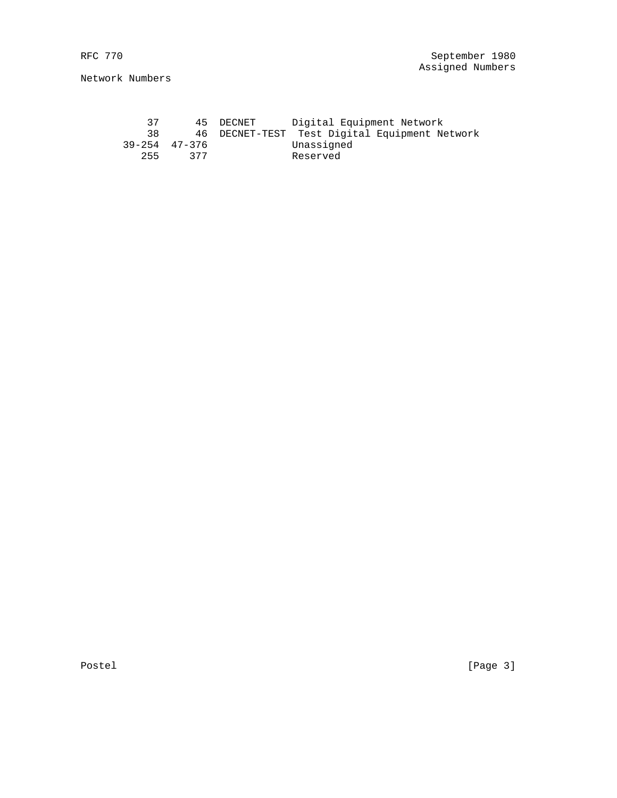Network Numbers

 37 45 DECNET Digital Equipment Network 38 46 DECNET-TEST Test Digital Equipment Network 39-254 47-376 Unassigned 255 377 Reserved

Postel [Page 3]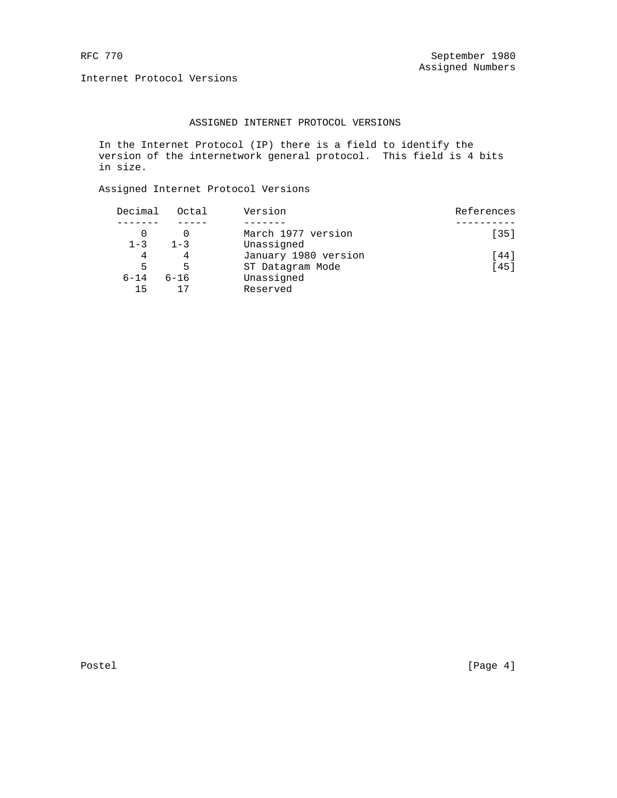Internet Protocol Versions

# ASSIGNED INTERNET PROTOCOL VERSIONS

 In the Internet Protocol (IP) there is a field to identify the version of the internetwork general protocol. This field is 4 bits in size.

Assigned Internet Protocol Versions

| Decimal  | Octal    | Version              | References |
|----------|----------|----------------------|------------|
|          |          |                      |            |
|          |          | March 1977 version   | $1351$     |
| $1 - 3$  | $1 - 3$  | Unassigned           |            |
| 4        |          | January 1980 version | [44]       |
| 5        | 5        | ST Datagram Mode     | [45]       |
| $6 - 14$ | $6 - 16$ | Unassigned           |            |
| 15       |          | Reserved             |            |

Postel [Page 4]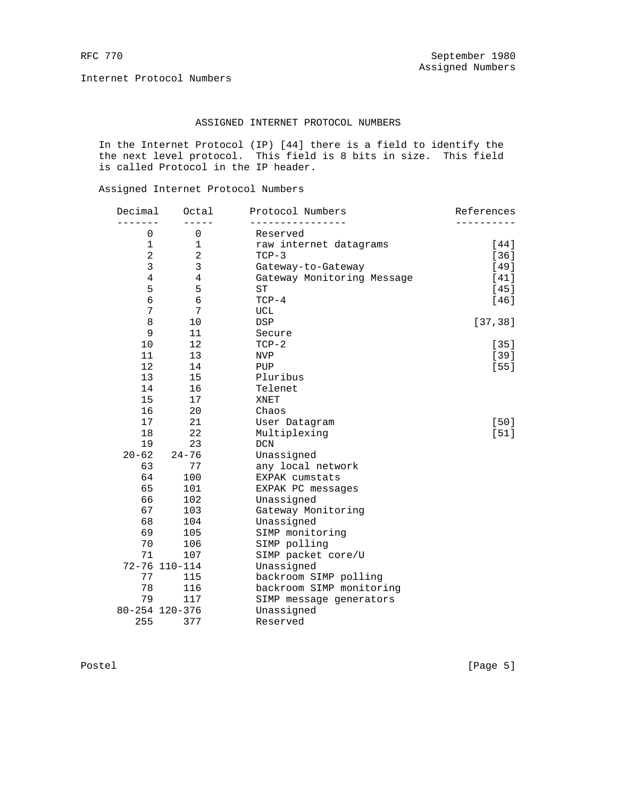Internet Protocol Numbers

# ASSIGNED INTERNET PROTOCOL NUMBERS

 In the Internet Protocol (IP) [44] there is a field to identify the the next level protocol. This field is 8 bits in size. This field is called Protocol in the IP header.

Assigned Internet Protocol Numbers

| Decimal        | Octal          | Protocol Numbers           | References |
|----------------|----------------|----------------------------|------------|
| 0              | 0              | Reserved                   |            |
| $\mathbf 1$    | $\mathbf 1$    | raw internet datagrams     | [44]       |
| $\overline{a}$ | $\overline{a}$ | $TCP-3$                    | $[36]$     |
| 3              | 3              | Gateway-to-Gateway         | [49]       |
| $\overline{4}$ | $\overline{4}$ | Gateway Monitoring Message | [41]       |
| 5              | 5              | <b>ST</b>                  | $[45]$     |
| 6              | $\overline{6}$ | $TCP-4$                    | [46]       |
| 7              | 7              | UCL                        |            |
| 8              | 10             | <b>DSP</b>                 | [37, 38]   |
| 9              | 11             | Secure                     |            |
| 10             | 12             | $TCP-2$                    | $[35]$     |
| 11             | 13             | <b>NVP</b>                 | $[39]$     |
| 12             | 14             | PUP                        | $[55]$     |
| 13             | 15             | Pluribus                   |            |
| 14             | 16             | Telenet                    |            |
| 15             | 17             | XNET                       |            |
| 16             | 20             | Chaos                      |            |
| 17             | 21             | User Datagram              | $[50]$     |
| 18             | 22             | Multiplexing               | $[51]$     |
| 19             | 23             | <b>DCN</b>                 |            |
| $20 - 62$      | $24 - 76$      | Unassigned                 |            |
| 63             | 77             | any local network          |            |
| 64             | 100            | EXPAK cumstats             |            |
| 65             | 101            | EXPAK PC messages          |            |
| 66             | 102            | Unassigned                 |            |
| 67             | 103            | Gateway Monitoring         |            |
| 68             | 104            | Unassigned                 |            |
| 69             | 105            | SIMP monitoring            |            |
| 70             | 106            | SIMP polling               |            |
| 71             | 107            | SIMP packet core/U         |            |
|                | 72-76 110-114  | Unassigned                 |            |
| 77             | 115            | backroom SIMP polling      |            |
| 78             | 116            | backroom SIMP monitoring   |            |
| 79             | 117            | SIMP message generators    |            |
|                | 80-254 120-376 | Unassigned                 |            |
| 255            | 377            | Reserved                   |            |
|                |                |                            |            |

Postel [Page 5]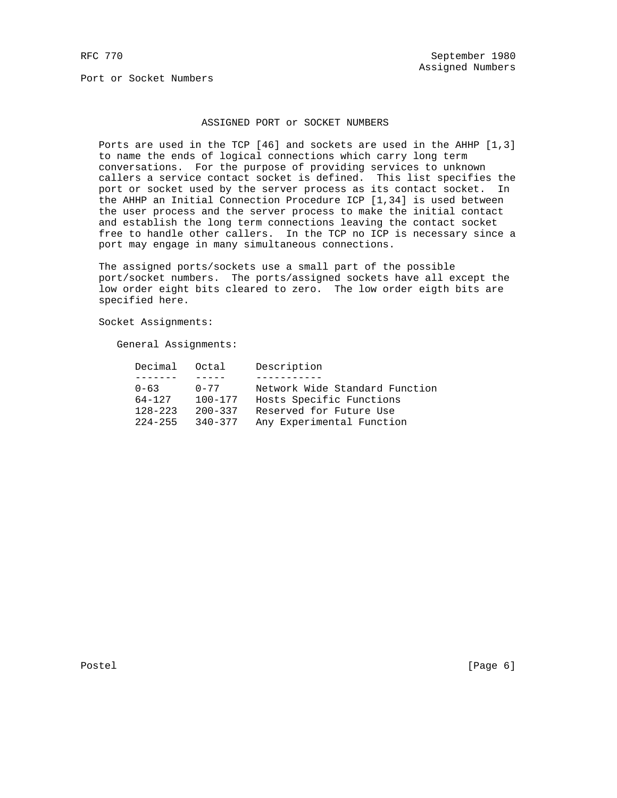Port or Socket Numbers

## ASSIGNED PORT or SOCKET NUMBERS

 Ports are used in the TCP [46] and sockets are used in the AHHP [1,3] to name the ends of logical connections which carry long term conversations. For the purpose of providing services to unknown callers a service contact socket is defined. This list specifies the port or socket used by the server process as its contact socket. In the AHHP an Initial Connection Procedure ICP [1,34] is used between the user process and the server process to make the initial contact and establish the long term connections leaving the contact socket free to handle other callers. In the TCP no ICP is necessary since a port may engage in many simultaneous connections.

 The assigned ports/sockets use a small part of the possible port/socket numbers. The ports/assigned sockets have all except the low order eight bits cleared to zero. The low order eigth bits are specified here.

Socket Assignments:

General Assignments:

| Decimal Octal |             | Description                    |
|---------------|-------------|--------------------------------|
|               |             |                                |
| $0 - 63$      | $0 - 77$    | Network Wide Standard Function |
| 64-127        | $100 - 177$ | Hosts Specific Functions       |
| $128 - 223$   | $200 - 337$ | Reserved for Future Use        |
| $224 - 255$   | $340 - 377$ | Any Experimental Function      |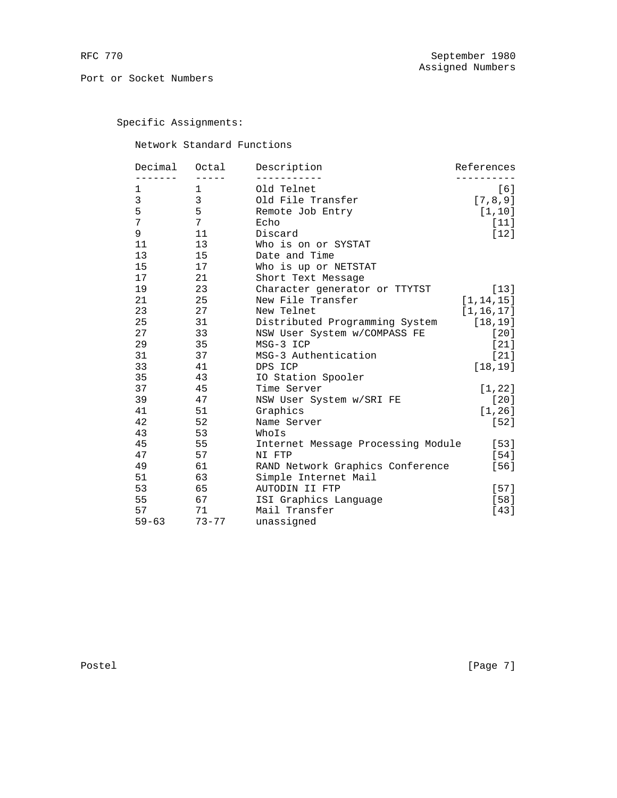Specific Assignments:

Network Standard Functions

| Decimal   | Octal      | Description                        | References  |
|-----------|------------|------------------------------------|-------------|
| 1         | -----<br>1 | Old Telnet                         | [6]         |
| 3         | 3          | Old File Transfer                  | [7, 8, 9]   |
| 5         | 5          | Remote Job Entry                   | [1, 10]     |
| 7         | 7          | Echo                               | $[11]$      |
| 9         | 11         | Discard                            | $[12]$      |
| 11        | 13         | Who is on or SYSTAT                |             |
| 13        | 15         | Date and Time                      |             |
| 15        | 17         | Who is up or NETSTAT               |             |
| 17        | 21         | Short Text Message                 |             |
| 19        | 23         | Character generator or TTYTST      | $[13]$      |
| 21        | 25         | New File Transfer                  | [1, 14, 15] |
| 23        | 27         | New Telnet                         | [1, 16, 17] |
| 25        | 31         | Distributed Programming System     | [18, 19]    |
| 27        | 33         | NSW User System w/COMPASS FE       | [20]        |
| 29        | 35         | MSG-3 ICP                          | [21]        |
| 31        | 37         | MSG-3 Authentication               | $[21]$      |
| 33        | 41         | DPS ICP                            | [18, 19]    |
| 35        | 43         | IO Station Spooler                 |             |
| 37        | 45         | Time Server                        | [1, 22]     |
| 39        | 47         | NSW User System w/SRI FE           | $[20]$      |
| 41        | 51         | Graphics                           | [1, 26]     |
| 42        | 52         | Name Server                        | $[52]$      |
| 43        | 53         | WhoIs                              |             |
| 45        | 55         | Internet Message Processing Module | $[53]$      |
| 47        | 57         | NI FTP                             | [54]        |
| 49        | 61         | RAND Network Graphics Conference   | [56]        |
| 51        | 63         | Simple Internet Mail               |             |
| 53        | 65         | AUTODIN II FTP                     | $[57]$      |
| 55        | 67         | ISI Graphics Language              | $[58]$      |
| 57        | 71         | Mail Transfer                      | $[43]$      |
| $59 - 63$ | $73 - 77$  | unassigned                         |             |

Postel [Page 7]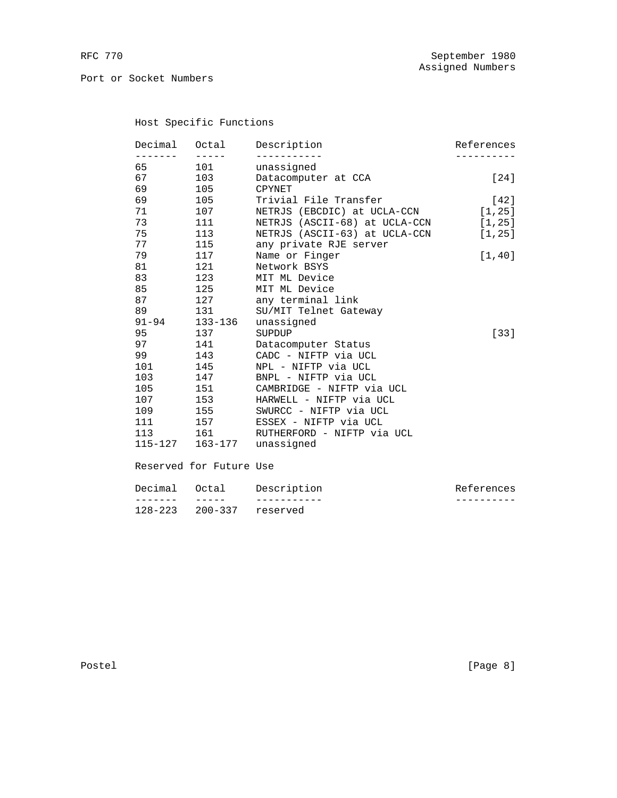Port or Socket Numbers

# Host Specific Functions

| Decimal             | Octal                | Description                   | References |
|---------------------|----------------------|-------------------------------|------------|
| $- - - - -$<br>65 — | $- - - - - -$<br>101 | unassigned                    |            |
| 67 — 10             | 103                  | Datacomputer at CCA           | $[24]$     |
| 69                  | 105                  | CPYNET                        |            |
| 69                  | 105                  | Trivial File Transfer         | [42]       |
| 71                  | 107                  | NETRJS (EBCDIC) at UCLA-CCN   | [1, 25]    |
| 73                  | 111                  | NETRJS (ASCII-68) at UCLA-CCN | [1, 25]    |
| 75                  | 113                  | NETRJS (ASCII-63) at UCLA-CCN | [1, 25]    |
| 77                  | 115                  | any private RJE server        |            |
| 79                  | 117                  | Name or Finger                | [1, 40]    |
| 81                  | 121                  | Network BSYS                  |            |
| 83                  | 123                  | MIT ML Device                 |            |
| 85                  | 125                  | MIT ML Device                 |            |
| 87                  | 127                  | any terminal link             |            |
| 89                  | 131                  | SU/MIT Telnet Gateway         |            |
| $91 - 94$           | 133-136              | unassigned                    |            |
| 95                  | 137                  | SUPDUP                        | $[33]$     |
| 97                  | 141                  | Datacomputer Status           |            |
| 99                  | 143                  | CADC - NIFTP via UCL          |            |
| 101                 | 145                  | NPL - NIFTP via UCL           |            |
| 103                 | 147                  | BNPL - NIFTP via UCL          |            |
| 105                 | 151                  | CAMBRIDGE - NIFTP via UCL     |            |
| 107                 | 153                  | HARWELL - NIFTP via UCL       |            |
| 109                 | 155                  | SWURCC - NIFTP via UCL        |            |
| 111 7               | 157 — 157            | ESSEX - NIFTP via UCL         |            |
| 113                 | 161 1                | RUTHERFORD - NIFTP via UCL    |            |
|                     | 115-127 163-177      | unassigned                    |            |
|                     |                      |                               |            |
|                     |                      |                               |            |

# Reserved for Future Use

| Decimal Octal |                          | Description | References |
|---------------|--------------------------|-------------|------------|
|               |                          |             |            |
|               | 128-223 200-337 reserved |             |            |

Postel [Page 8]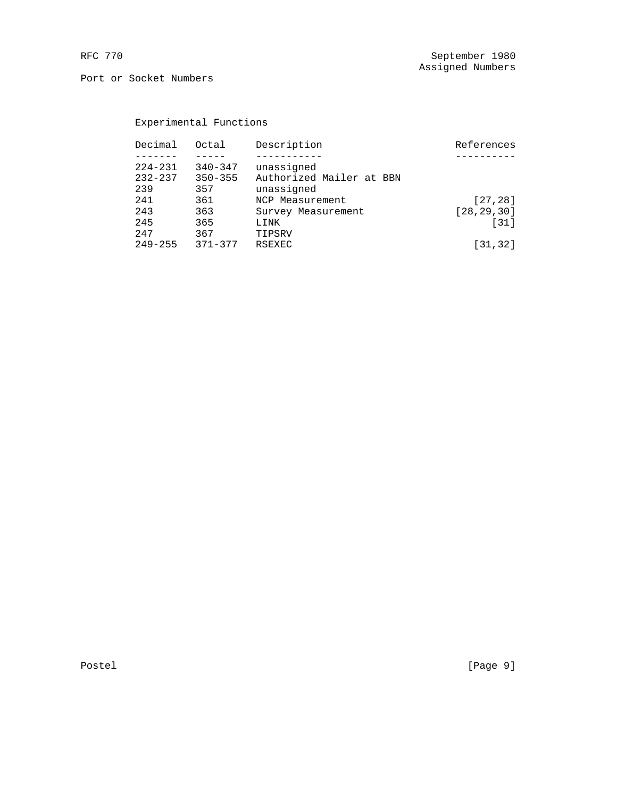Port or Socket Numbers

# Experimental Functions

| Decimal     | Octal       | Description              | References   |
|-------------|-------------|--------------------------|--------------|
|             |             |                          |              |
| $224 - 231$ | $340 - 347$ | unassigned               |              |
| $232 - 237$ | $350 - 355$ | Authorized Mailer at BBN |              |
| 239         | 357         | unassigned               |              |
| 241         | 361         | NCP Measurement          | [27, 28]     |
| 243         | 363         | Survey Measurement       | [28, 29, 30] |
| 245         | 365         | LINK                     | $[31]$       |
| 247         | 367         | TIPSRV                   |              |
| $249 - 255$ | $371 - 377$ | RSEXEC                   | [31, 32]     |
|             |             |                          |              |

Postel [Page 9]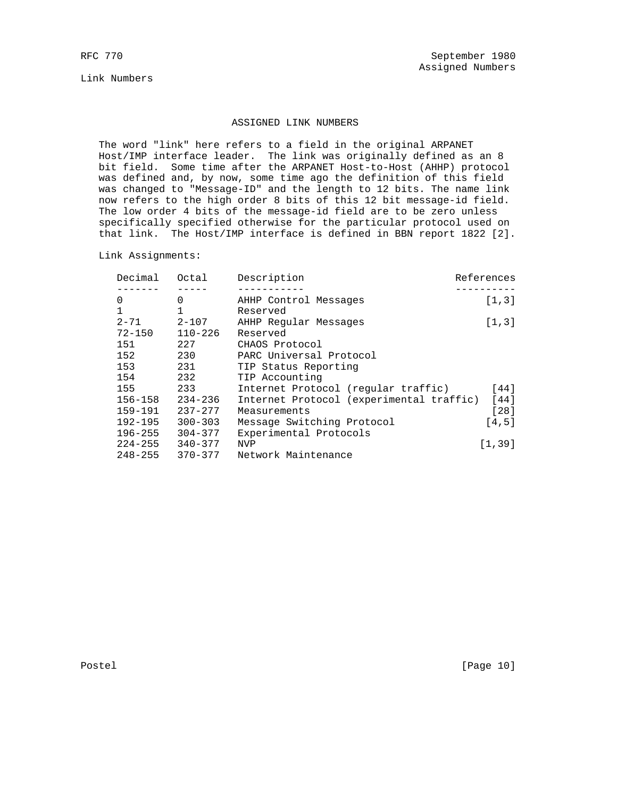Link Numbers

## ASSIGNED LINK NUMBERS

 The word "link" here refers to a field in the original ARPANET Host/IMP interface leader. The link was originally defined as an 8 bit field. Some time after the ARPANET Host-to-Host (AHHP) protocol was defined and, by now, some time ago the definition of this field was changed to "Message-ID" and the length to 12 bits. The name link now refers to the high order 8 bits of this 12 bit message-id field. The low order 4 bits of the message-id field are to be zero unless specifically specified otherwise for the particular protocol used on that link. The Host/IMP interface is defined in BBN report 1822 [2].

Link Assignments:

| Decimal     | Octal        | Description                              | References |
|-------------|--------------|------------------------------------------|------------|
|             |              |                                          |            |
| $\mathbf 0$ | 0            | AHHP Control Messages                    | [1,3]      |
| $\mathbf 1$ | $\mathbf{1}$ | Reserved                                 |            |
| $2 - 71$    | 2-107        | AHHP Regular Messages                    | [1,3]      |
| $72 - 150$  | $110 - 226$  | Reserved                                 |            |
| 151         | 227          | CHAOS Protocol                           |            |
| 152         | 230          | PARC Universal Protocol                  |            |
| 153         | 231          | TIP Status Reporting                     |            |
| 154         | 232          | TIP Accounting                           |            |
| 155         | 233          | Internet Protocol (regular traffic)      | [44]       |
| 156-158     | $234 - 236$  | Internet Protocol (experimental traffic) | [44]       |
| 159-191     | $237 - 277$  | Measurements                             | $[28]$     |
| $192 - 195$ | $300 - 303$  | Message Switching Protocol               | [4,5]      |
| $196 - 255$ | $304 - 377$  | Experimental Protocols                   |            |
| $224 - 255$ | $340 - 377$  | <b>NVP</b>                               | [1, 39]    |
| 248-255     | 370-377      | Network Maintenance                      |            |

Postel [Page 10]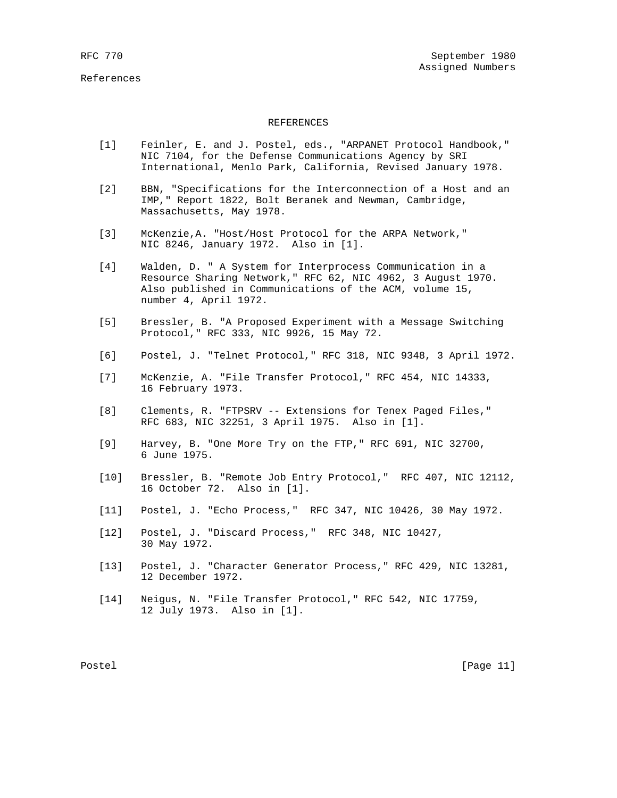## REFERENCES

- [1] Feinler, E. and J. Postel, eds., "ARPANET Protocol Handbook," NIC 7104, for the Defense Communications Agency by SRI International, Menlo Park, California, Revised January 1978.
- [2] BBN, "Specifications for the Interconnection of a Host and an IMP," Report 1822, Bolt Beranek and Newman, Cambridge, Massachusetts, May 1978.
- [3] McKenzie,A. "Host/Host Protocol for the ARPA Network," NIC 8246, January 1972. Also in [1].
- [4] Walden, D. " A System for Interprocess Communication in a Resource Sharing Network," RFC 62, NIC 4962, 3 August 1970. Also published in Communications of the ACM, volume 15, number 4, April 1972.
- [5] Bressler, B. "A Proposed Experiment with a Message Switching Protocol," RFC 333, NIC 9926, 15 May 72.
- [6] Postel, J. "Telnet Protocol," RFC 318, NIC 9348, 3 April 1972.
- [7] McKenzie, A. "File Transfer Protocol," RFC 454, NIC 14333, 16 February 1973.
- [8] Clements, R. "FTPSRV -- Extensions for Tenex Paged Files," RFC 683, NIC 32251, 3 April 1975. Also in [1].
- [9] Harvey, B. "One More Try on the FTP," RFC 691, NIC 32700, 6 June 1975.
- [10] Bressler, B. "Remote Job Entry Protocol," RFC 407, NIC 12112, 16 October 72. Also in [1].
- [11] Postel, J. "Echo Process," RFC 347, NIC 10426, 30 May 1972.
- [12] Postel, J. "Discard Process," RFC 348, NIC 10427, 30 May 1972.
- [13] Postel, J. "Character Generator Process," RFC 429, NIC 13281, 12 December 1972.
- [14] Neigus, N. "File Transfer Protocol," RFC 542, NIC 17759, 12 July 1973. Also in [1].

Postel [Page 11]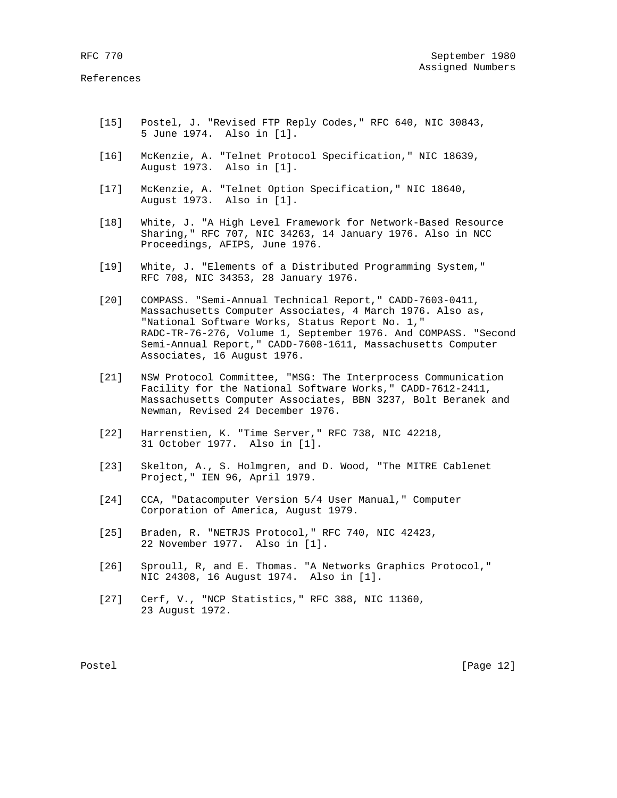- [15] Postel, J. "Revised FTP Reply Codes," RFC 640, NIC 30843, 5 June 1974. Also in [1].
- [16] McKenzie, A. "Telnet Protocol Specification," NIC 18639, August 1973. Also in [1].
- [17] McKenzie, A. "Telnet Option Specification," NIC 18640, August 1973. Also in [1].
- [18] White, J. "A High Level Framework for Network-Based Resource Sharing," RFC 707, NIC 34263, 14 January 1976. Also in NCC Proceedings, AFIPS, June 1976.
- [19] White, J. "Elements of a Distributed Programming System," RFC 708, NIC 34353, 28 January 1976.
- [20] COMPASS. "Semi-Annual Technical Report," CADD-7603-0411, Massachusetts Computer Associates, 4 March 1976. Also as, "National Software Works, Status Report No. 1," RADC-TR-76-276, Volume 1, September 1976. And COMPASS. "Second Semi-Annual Report," CADD-7608-1611, Massachusetts Computer Associates, 16 August 1976.
- [21] NSW Protocol Committee, "MSG: The Interprocess Communication Facility for the National Software Works," CADD-7612-2411, Massachusetts Computer Associates, BBN 3237, Bolt Beranek and Newman, Revised 24 December 1976.
- [22] Harrenstien, K. "Time Server," RFC 738, NIC 42218, 31 October 1977. Also in [1].
- [23] Skelton, A., S. Holmgren, and D. Wood, "The MITRE Cablenet Project," IEN 96, April 1979.
- [24] CCA, "Datacomputer Version 5/4 User Manual," Computer Corporation of America, August 1979.
- [25] Braden, R. "NETRJS Protocol," RFC 740, NIC 42423, 22 November 1977. Also in [1].
- [26] Sproull, R, and E. Thomas. "A Networks Graphics Protocol," NIC 24308, 16 August 1974. Also in [1].
- [27] Cerf, V., "NCP Statistics," RFC 388, NIC 11360, 23 August 1972.

Postel [Page 12]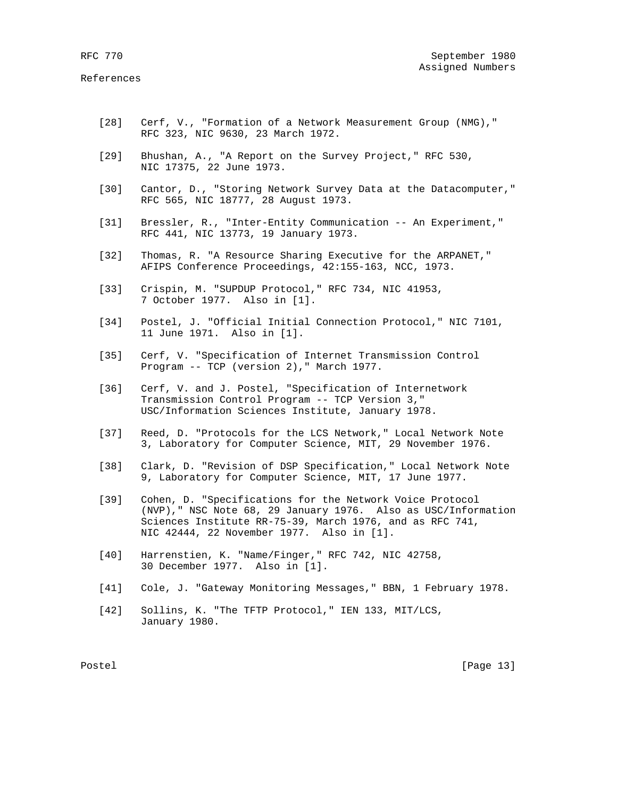- [28] Cerf, V., "Formation of a Network Measurement Group (NMG)," RFC 323, NIC 9630, 23 March 1972.
- [29] Bhushan, A., "A Report on the Survey Project," RFC 530, NIC 17375, 22 June 1973.
- [30] Cantor, D., "Storing Network Survey Data at the Datacomputer," RFC 565, NIC 18777, 28 August 1973.
- [31] Bressler, R., "Inter-Entity Communication -- An Experiment," RFC 441, NIC 13773, 19 January 1973.
- [32] Thomas, R. "A Resource Sharing Executive for the ARPANET," AFIPS Conference Proceedings, 42:155-163, NCC, 1973.
- [33] Crispin, M. "SUPDUP Protocol," RFC 734, NIC 41953, 7 October 1977. Also in [1].
- [34] Postel, J. "Official Initial Connection Protocol," NIC 7101, 11 June 1971. Also in [1].
- [35] Cerf, V. "Specification of Internet Transmission Control Program -- TCP (version 2)," March 1977.
- [36] Cerf, V. and J. Postel, "Specification of Internetwork Transmission Control Program -- TCP Version 3," USC/Information Sciences Institute, January 1978.
- [37] Reed, D. "Protocols for the LCS Network," Local Network Note 3, Laboratory for Computer Science, MIT, 29 November 1976.
- [38] Clark, D. "Revision of DSP Specification," Local Network Note 9, Laboratory for Computer Science, MIT, 17 June 1977.
- [39] Cohen, D. "Specifications for the Network Voice Protocol (NVP)," NSC Note 68, 29 January 1976. Also as USC/Information Sciences Institute RR-75-39, March 1976, and as RFC 741, NIC 42444, 22 November 1977. Also in [1].
- [40] Harrenstien, K. "Name/Finger," RFC 742, NIC 42758, 30 December 1977. Also in [1].
- [41] Cole, J. "Gateway Monitoring Messages," BBN, 1 February 1978.
- [42] Sollins, K. "The TFTP Protocol," IEN 133, MIT/LCS, January 1980.

Postel [Page 13]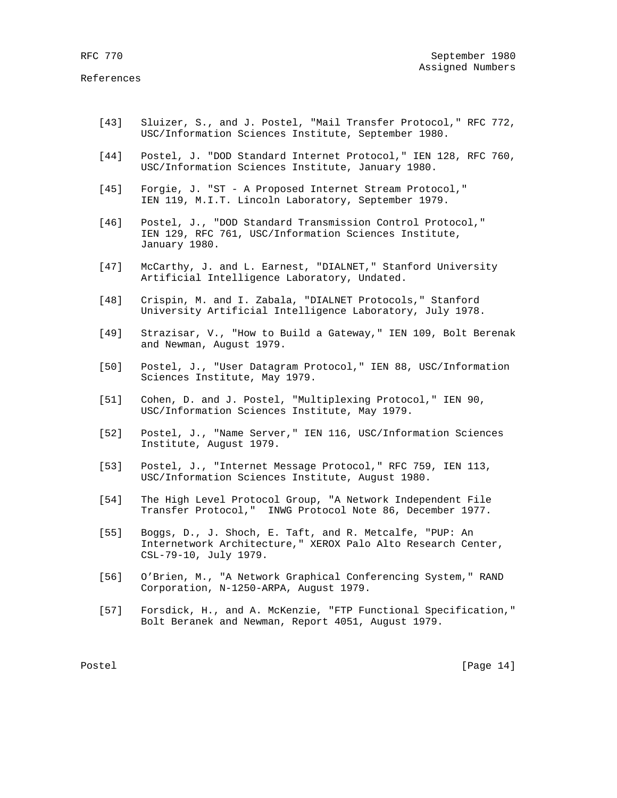- [43] Sluizer, S., and J. Postel, "Mail Transfer Protocol," RFC 772, USC/Information Sciences Institute, September 1980.
- [44] Postel, J. "DOD Standard Internet Protocol," IEN 128, RFC 760, USC/Information Sciences Institute, January 1980.
- [45] Forgie, J. "ST A Proposed Internet Stream Protocol," IEN 119, M.I.T. Lincoln Laboratory, September 1979.
- [46] Postel, J., "DOD Standard Transmission Control Protocol," IEN 129, RFC 761, USC/Information Sciences Institute, January 1980.
- [47] McCarthy, J. and L. Earnest, "DIALNET," Stanford University Artificial Intelligence Laboratory, Undated.
- [48] Crispin, M. and I. Zabala, "DIALNET Protocols," Stanford University Artificial Intelligence Laboratory, July 1978.
- [49] Strazisar, V., "How to Build a Gateway," IEN 109, Bolt Berenak and Newman, August 1979.
- [50] Postel, J., "User Datagram Protocol," IEN 88, USC/Information Sciences Institute, May 1979.
- [51] Cohen, D. and J. Postel, "Multiplexing Protocol," IEN 90, USC/Information Sciences Institute, May 1979.
- [52] Postel, J., "Name Server," IEN 116, USC/Information Sciences Institute, August 1979.
- [53] Postel, J., "Internet Message Protocol," RFC 759, IEN 113, USC/Information Sciences Institute, August 1980.
- [54] The High Level Protocol Group, "A Network Independent File Transfer Protocol," INWG Protocol Note 86, December 1977.
- [55] Boggs, D., J. Shoch, E. Taft, and R. Metcalfe, "PUP: An Internetwork Architecture," XEROX Palo Alto Research Center, CSL-79-10, July 1979.
- [56] O'Brien, M., "A Network Graphical Conferencing System," RAND Corporation, N-1250-ARPA, August 1979.
- [57] Forsdick, H., and A. McKenzie, "FTP Functional Specification," Bolt Beranek and Newman, Report 4051, August 1979.

Postel [Page 14]